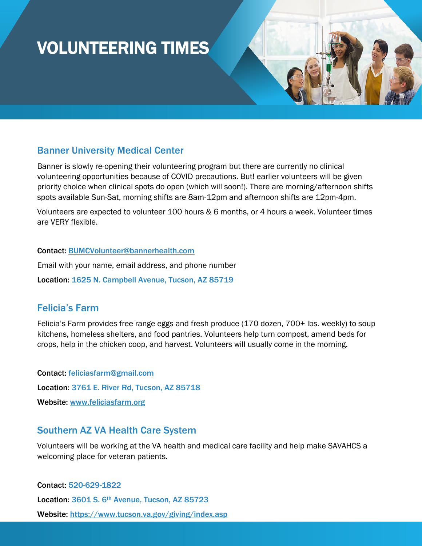# VOLUNTEERING TIMES

# Banner University Medical Center

Banner is slowly re-opening their volunteering program but there are currently no clinical volunteering opportunities because of COVID precautions. But! earlier volunteers will be given priority choice when clinical spots do open (which will soon!). There are morning/afternoon shifts spots available Sun-Sat, morning shifts are 8am-12pm and afternoon shifts are 12pm-4pm.

Volunteers are expected to volunteer 100 hours & 6 months, or 4 hours a week. Volunteer times are VERY flexible.

#### Contact: [BUMCVolunteer@bannerhealth.com](mailto:BUMCVolunteer@bannerhealth.com)

Email with your name, email address, and phone number Location: 1625 N. Campbell Avenue, Tucson, AZ 85719

# Felicia's Farm

Felicia's Farm provides free range eggs and fresh produce (170 dozen, 700+ lbs. weekly) to soup kitchens, homeless shelters, and food pantries. Volunteers help turn compost, amend beds for crops, help in the chicken coop, and harvest. Volunteers will usually come in the morning.

Contact: [feliciasfarm@gmail.com](mailto:feliciasfarm@gmail.com) Location: 3761 E. River Rd, Tucson, AZ 85718 Website: [www.feliciasfarm.org](http://www.feliciasfarm.org/)

# Southern AZ VA Health Care System

Volunteers will be working at the VA health and medical care facility and help make SAVAHCS a welcoming place for veteran patients.

Contact: 520-629-1822 Location: 3601 S. 6<sup>th</sup> Avenue, Tucson, AZ 85723 Website: https://www.tucson.va.gov/giving/index.asp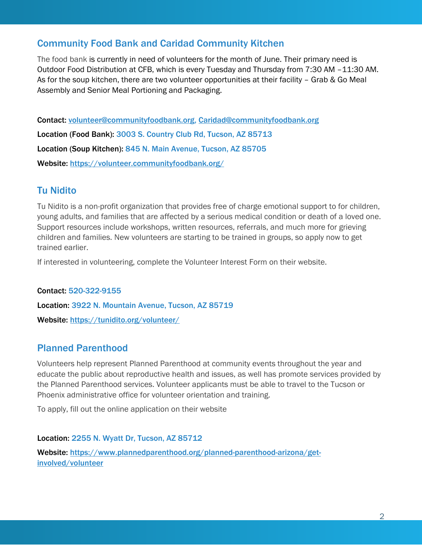# Community Food Bank and Caridad Community Kitchen

The food bank is currently in need of volunteers for the month of June. Their primary need is Outdoor Food Distribution at CFB, which is every Tuesday and Thursday from 7:30 AM –11:30 AM. As for the soup kitchen, there are two volunteer opportunities at their facility – Grab & Go Meal Assembly and Senior Meal Portioning and Packaging.

Contact: [volunteer@communityfoodbank.org,](mailto:volunteer@communityfoodbank.org) [Caridad@communityfoodbank.org](mailto:Caridad@communityfoodbank.org) Location (Food Bank): 3003 S. Country Club Rd, Tucson, AZ 85713 Location (Soup Kitchen): 845 N. Main Avenue, Tucson, AZ 85705 Website:<https://volunteer.communityfoodbank.org/>

## Tu Nidito

Tu Nidito is a non-profit organization that provides free of charge emotional support to for children, young adults, and families that are affected by a serious medical condition or death of a loved one. Support resources include workshops, written resources, referrals, and much more for grieving children and families. New volunteers are starting to be trained in groups, so apply now to get trained earlier.

If interested in volunteering, complete the Volunteer Interest Form on their website.

Contact: 520-322-9155 Location: 3922 N. Mountain Avenue, Tucson, AZ 85719 Website: <https://tunidito.org/volunteer/>

### Planned Parenthood

Volunteers help represent Planned Parenthood at community events throughout the year and educate the public about reproductive health and issues, as well has promote services provided by the Planned Parenthood services. Volunteer applicants must be able to travel to the Tucson or Phoenix administrative office for volunteer orientation and training.

To apply, fill out the online application on their website

Location: 2255 N. Wyatt Dr, Tucson, AZ 85712 Website: [https://www.plannedparenthood.org/planned-parenthood-arizona/get](https://www.plannedparenthood.org/planned-parenthood-arizona/get-involved/volunteer)[involved/volunteer](https://www.plannedparenthood.org/planned-parenthood-arizona/get-involved/volunteer)